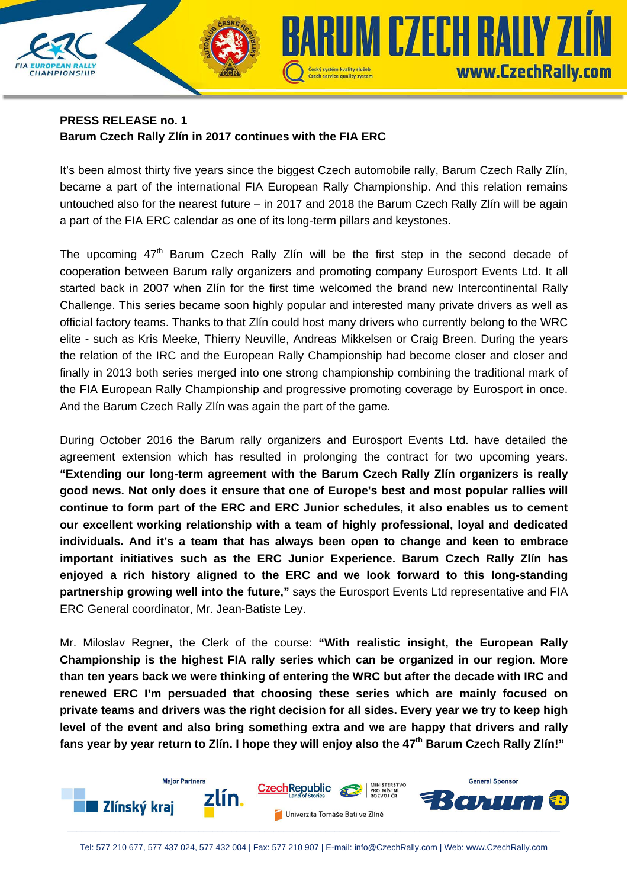

**CHAMPIONSHIP** 

It's been almost thirty five years since the biggest Czech automobile rally, Barum Czech Rally Zlín, became a part of the international FIA European Rally Championship. And this relation remains untouched also for the nearest future – in 2017 and 2018 the Barum Czech Rally Zlín will be again a part of the FIA ERC calendar as one of its long-term pillars and keystones.

Czech service quality system

**RUM CZECH RALIY ZLÍN** 

www.CzechRally.com

The upcoming 47<sup>th</sup> Barum Czech Rally Zlín will be the first step in the second decade of cooperation between Barum rally organizers and promoting company Eurosport Events Ltd. It all started back in 2007 when Zlín for the first time welcomed the brand new Intercontinental Rally Challenge. This series became soon highly popular and interested many private drivers as well as official factory teams. Thanks to that Zlín could host many drivers who currently belong to the WRC elite - such as Kris Meeke, Thierry Neuville, Andreas Mikkelsen or Craig Breen. During the years the relation of the IRC and the European Rally Championship had become closer and closer and finally in 2013 both series merged into one strong championship combining the traditional mark of the FIA European Rally Championship and progressive promoting coverage by Eurosport in once. And the Barum Czech Rally Zlín was again the part of the game.

During October 2016 the Barum rally organizers and Eurosport Events Ltd. have detailed the agreement extension which has resulted in prolonging the contract for two upcoming years. **"Extending our long-term agreement with the Barum Czech Rally Zlín organizers is really good news. Not only does it ensure that one of Europe's best and most popular rallies will continue to form part of the ERC and ERC Junior schedules, it also enables us to cement our excellent working relationship with a team of highly professional, loyal and dedicated individuals. And it's a team that has always been open to change and keen to embrace important initiatives such as the ERC Junior Experience. Barum Czech Rally Zlín has enjoyed a rich history aligned to the ERC and we look forward to this long-standing partnership growing well into the future,"** says the Eurosport Events Ltd representative and FIA ERC General coordinator, Mr. Jean-Batiste Ley.

Mr. Miloslav Regner, the Clerk of the course: **"With realistic insight, the European Rally Championship is the highest FIA rally series which can be organized in our region. More than ten years back we were thinking of entering the WRC but after the decade with IRC and renewed ERC I'm persuaded that choosing these series which are mainly focused on private teams and drivers was the right decision for all sides. Every year we try to keep high level of the event and also bring something extra and we are happy that drivers and rally fans year by year return to Zlín. I hope they will enjoy also the 47th Barum Czech Rally Zlín!"**